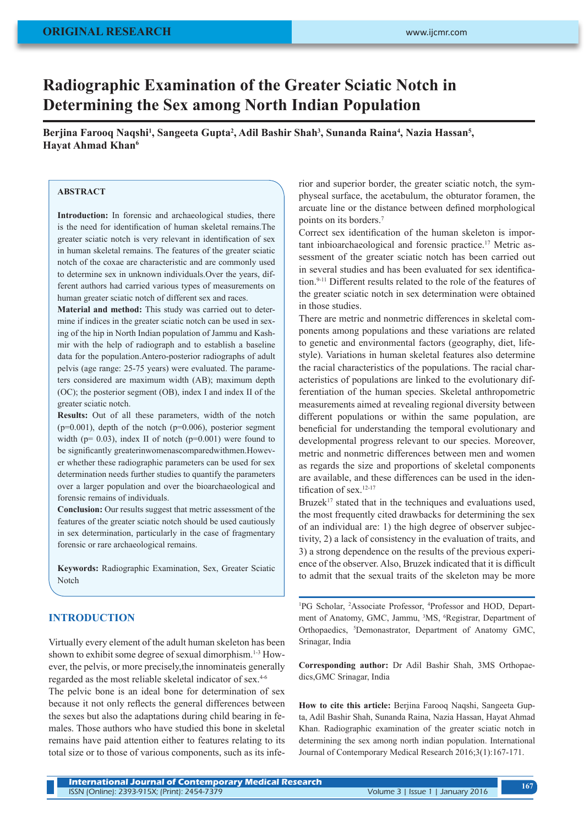# **Radiographic Examination of the Greater Sciatic Notch in Determining the Sex among North Indian Population**

Berjina Farooq Naqshi<sup>1</sup>, Sangeeta Gupta<sup>2</sup>, Adil Bashir Shah<sup>3</sup>, Sunanda Raina<sup>4</sup>, Nazia Hassan<sup>5</sup>, **Hayat Ahmad Khan6**

#### **ABSTRACT**

Introduction: In forensic and archaeological studies, there is the need for identification of human skeletal remains.The greater sciatic notch is very relevant in identification of sex in human skeletal remains. The features of the greater sciatic notch of the coxae are characteristic and are commonly used to determine sex in unknown individuals.Over the years, different authors had carried various types of measurements on human greater sciatic notch of different sex and races.

**Material and method:** This study was carried out to determine if indices in the greater sciatic notch can be used in sexing of the hip in North Indian population of Jammu and Kashmir with the help of radiograph and to establish a baseline data for the population.Antero-posterior radiographs of adult pelvis (age range: 25-75 years) were evaluated. The parameters considered are maximum width (AB); maximum depth (OC); the posterior segment (OB), index I and index II of the greater sciatic notch.

**Results:** Out of all these parameters, width of the notch  $(p=0.001)$ , depth of the notch  $(p=0.006)$ , posterior segment width ( $p= 0.03$ ), index II of notch ( $p=0.001$ ) were found to be significantly greaterinwomenascomparedwithmen.However whether these radiographic parameters can be used for sex determination needs further studies to quantify the parameters over a larger population and over the bioarchaeological and forensic remains of individuals.

**Conclusion:** Our results suggest that metric assessment of the features of the greater sciatic notch should be used cautiously in sex determination, particularly in the case of fragmentary forensic or rare archaeological remains.

**Keywords:** Radiographic Examination, Sex, Greater Sciatic Notch

### **INTRODUCTION**

Virtually every element of the adult human skeleton has been shown to exhibit some degree of sexual dimorphism.<sup>1-3</sup> However, the pelvis, or more precisely,the innominateis generally regarded as the most reliable skeletal indicator of sex.4-6

The pelvic bone is an ideal bone for determination of sex because it not only reflects the general differences between the sexes but also the adaptations during child bearing in females. Those authors who have studied this bone in skeletal remains have paid attention either to features relating to its total size or to those of various components, such as its inferior and superior border, the greater sciatic notch, the symphyseal surface, the acetabulum, the obturator foramen, the arcuate line or the distance between defined morphological points on its borders.<sup>7</sup>

Correct sex identification of the human skeleton is important inbioarchaeological and forensic practice.17 Metric assessment of the greater sciatic notch has been carried out in several studies and has been evaluated for sex identification.9-11 Different results related to the role of the features of the greater sciatic notch in sex determination were obtained in those studies.

There are metric and nonmetric differences in skeletal components among populations and these variations are related to genetic and environmental factors (geography, diet, lifestyle). Variations in human skeletal features also determine the racial characteristics of the populations. The racial characteristics of populations are linked to the evolutionary differentiation of the human species. Skeletal anthropometric measurements aimed at revealing regional diversity between different populations or within the same population, are beneficial for understanding the temporal evolutionary and developmental progress relevant to our species. Moreover, metric and nonmetric differences between men and women as regards the size and proportions of skeletal components are available, and these differences can be used in the identification of sex.<sup>12-17</sup>

Bruzek<sup>17</sup> stated that in the techniques and evaluations used, the most frequently cited drawbacks for determining the sex of an individual are: 1) the high degree of observer subjectivity, 2) a lack of consistency in the evaluation of traits, and 3) a strong dependence on the results of the previous experience of the observer. Also, Bruzek indicated that it is difficult to admit that the sexual traits of the skeleton may be more

<sup>1</sup>PG Scholar, <sup>2</sup>Associate Professor, <sup>4</sup>Professor and HOD, Department of Anatomy, GMC, Jammu, <sup>3</sup>MS, <sup>6</sup>Registrar, Department of Orthopaedics, <sup>5</sup>Demonastrator, Department of Anatomy GMC, Srinagar, India

**Corresponding author:** Dr Adil Bashir Shah, 3MS Orthopaedics,GMC Srinagar, India

**How to cite this article:** Berjina Farooq Naqshi, Sangeeta Gupta, Adil Bashir Shah, Sunanda Raina, Nazia Hassan, Hayat Ahmad Khan. Radiographic examination of the greater sciatic notch in determining the sex among north indian population. International Journal of Contemporary Medical Research 2016;3(1):167-171.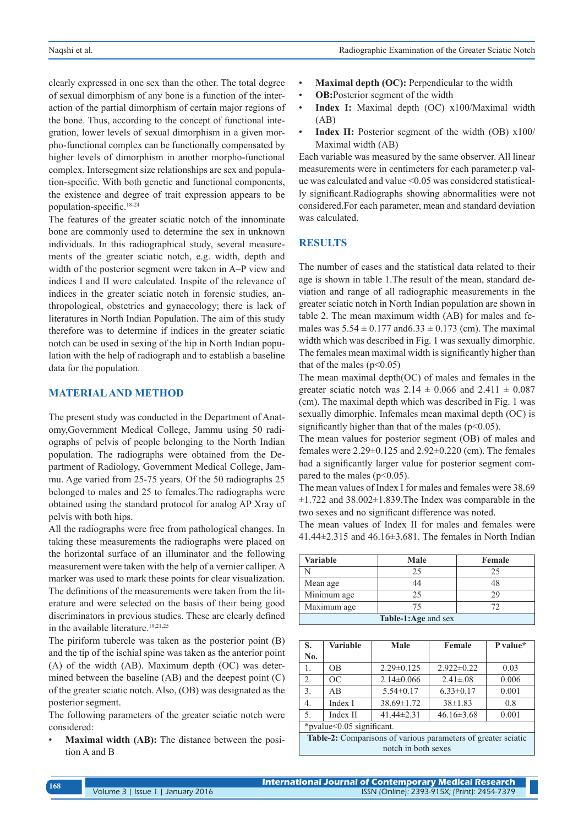clearly expressed in one sex than the other. The total degree of sexual dimorphism of any bone is a function of the interaction of the partial dimorphism of certain major regions of the bone. Thus, according to the concept of functional integration, lower levels of sexual dimorphism in a given morpho-functional complex can be functionally compensated by higher levels of dimorphism in another morpho-functional complex. Intersegment size relationships are sex and population-specific. With both genetic and functional components, the existence and degree of trait expression appears to be population-specific.18-24

The features of the greater sciatic notch of the innominate bone are commonly used to determine the sex in unknown individuals. In this radiographical study, several measurements of the greater sciatic notch, e.g. width, depth and width of the posterior segment were taken in A–P view and indices I and II were calculated. Inspite of the relevance of indices in the greater sciatic notch in forensic studies, anthropological, obstetrics and gynaecology; there is lack of literatures in North Indian Population. The aim of this study therefore was to determine if indices in the greater sciatic notch can be used in sexing of the hip in North Indian population with the help of radiograph and to establish a baseline data for the population.

#### **MATERIAL AND METHOD**

The present study was conducted in the Department of Anatomy,Government Medical College, Jammu using 50 radiographs of pelvis of people belonging to the North Indian population. The radiographs were obtained from the Department of Radiology, Government Medical College, Jammu. Age varied from 25-75 years. Of the 50 radiographs 25 belonged to males and 25 to females.The radiographs were obtained using the standard protocol for analog AP Xray of pelvis with both hips.

All the radiographs were free from pathological changes. In taking these measurements the radiographs were placed on the horizontal surface of an illuminator and the following measurement were taken with the help of a vernier calliper. A marker was used to mark these points for clear visualization. The definitions of the measurements were taken from the literature and were selected on the basis of their being good discriminators in previous studies. These are clearly defined in the available literature.<sup>19,21,25</sup>

The piriform tubercle was taken as the posterior point (B) and the tip of the ischial spine was taken as the anterior point (A) of the width (AB). Maximum depth (OC) was determined between the baseline (AB) and the deepest point (C) of the greater sciatic notch. Also, (OB) was designated as the posterior segment.

The following parameters of the greater sciatic notch were considered:

**Maximal width (AB):** The distance between the position A and B

- **Maximal depth (OC):** Perpendicular to the width
- **OB:**Posterior segment of the width
- **Index I:** Maximal depth (OC) x100/Maximal width (AB)
- **Index II:** Posterior segment of the width (OB)  $x100/$ Maximal width (AB)

Each variable was measured by the same observer. All linear measurements were in centimeters for each parameter.p value was calculated and value <0.05 was considered statistically significant.Radiographs showing abnormalities were not considered.For each parameter, mean and standard deviation was calculated.

## **RESULTS**

The number of cases and the statistical data related to their age is shown in table 1.The result of the mean, standard deviation and range of all radiographic measurements in the greater sciatic notch in North Indian population are shown in table 2. The mean maximum width (AB) for males and females was  $5.54 \pm 0.177$  and  $6.33 \pm 0.173$  (cm). The maximal width which was described in Fig. 1 was sexually dimorphic. The females mean maximal width is significantly higher than that of the males ( $p<0.05$ )

The mean maximal depth(OC) of males and females in the greater sciatic notch was  $2.14 \pm 0.066$  and  $2.411 \pm 0.087$ (cm). The maximal depth which was described in Fig. 1 was sexually dimorphic. Infemales mean maximal depth (OC) is significantly higher than that of the males ( $p<0.05$ ).

The mean values for posterior segment (OB) of males and females were 2.29±0.125 and 2.92±0.220 (cm). The females had a significantly larger value for posterior segment compared to the males ( $p<0.05$ ).

The mean values of Index I for males and females were 38.69  $\pm$ 1.722 and 38.002 $\pm$ 1.839. The Index was comparable in the two sexes and no significant difference was noted.

The mean values of Index II for males and females were 41.44±2.315 and 46.16±3.681. The females in North Indian

| <b>Variable</b>     | Male | Female |  |  |  |  |
|---------------------|------|--------|--|--|--|--|
|                     | 25   | 25     |  |  |  |  |
| Mean age            |      |        |  |  |  |  |
| Minimum age         |      | 29     |  |  |  |  |
| Maximum age         |      | 77     |  |  |  |  |
| Table-1:Age and sex |      |        |  |  |  |  |

| S.                                                            | <b>Variable</b> | Male             | Female           | P value* |  |  |  |
|---------------------------------------------------------------|-----------------|------------------|------------------|----------|--|--|--|
| No.                                                           |                 |                  |                  |          |  |  |  |
| 1.                                                            | <b>OB</b>       | $2.29 \pm 0.125$ | $2.922 \pm 0.22$ | 0.03     |  |  |  |
| 2 <sub>1</sub>                                                | OC              | $2.14\pm0.066$   | $2.41 \pm 0.08$  | 0.006    |  |  |  |
| 3.                                                            | AB              | $5.54 \pm 0.17$  | $6.33 \pm 0.17$  | 0.001    |  |  |  |
| $\overline{4}$ .                                              | Index I         | $38.69 \pm 1.72$ | $38\pm1.83$      | 0.8      |  |  |  |
| 5.                                                            | Index II        | $41.44 \pm 2.31$ | $46.16 \pm 3.68$ | 0.001    |  |  |  |
| *pvalue<0.05 significant.                                     |                 |                  |                  |          |  |  |  |
| Table-2: Comparisons of various parameters of greater sciatic |                 |                  |                  |          |  |  |  |
| notch in both sexes                                           |                 |                  |                  |          |  |  |  |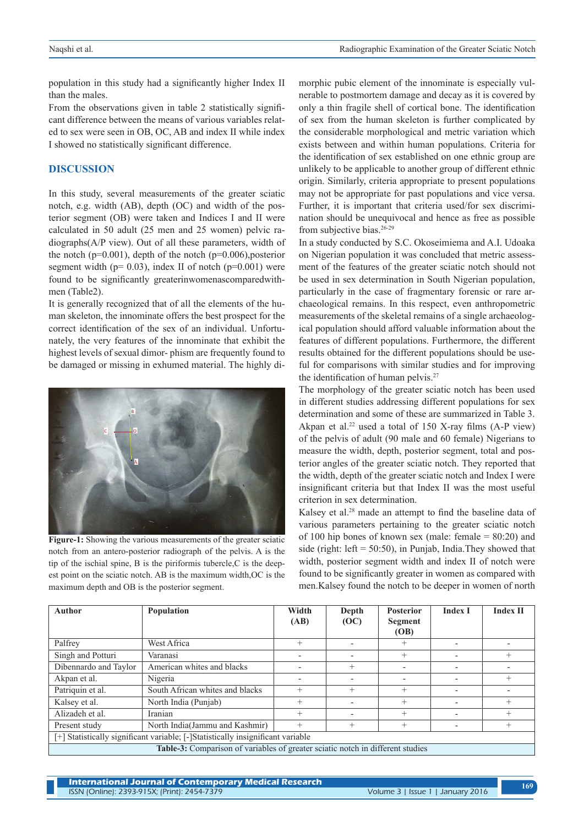population in this study had a significantly higher Index II than the males.

From the observations given in table 2 statistically significant difference between the means of various variables related to sex were seen in OB, OC, AB and index II while index I showed no statistically significant difference.

## **DISCUSSION**

In this study, several measurements of the greater sciatic notch, e.g. width (AB), depth (OC) and width of the posterior segment (OB) were taken and Indices I and II were calculated in 50 adult (25 men and 25 women) pelvic radiographs(A/P view). Out of all these parameters, width of the notch ( $p=0.001$ ), depth of the notch ( $p=0.006$ ), posterior segment width ( $p= 0.03$ ), index II of notch ( $p=0.001$ ) were found to be significantly greaterinwomenascomparedwithmen (Table2).

It is generally recognized that of all the elements of the human skeleton, the innominate offers the best prospect for the correct identification of the sex of an individual. Unfortunately, the very features of the innominate that exhibit the highest levels of sexual dimor- phism are frequently found to be damaged or missing in exhumed material. The highly di-



**Figure-1:** Showing the various measurements of the greater sciatic notch from an antero-posterior radiograph of the pelvis. A is the tip of the ischial spine, B is the piriformis tubercle,C is the deepest point on the sciatic notch. AB is the maximum width,OC is the maximum depth and OB is the posterior segment.

morphic pubic element of the innominate is especially vulnerable to postmortem damage and decay as it is covered by only a thin fragile shell of cortical bone. The identification of sex from the human skeleton is further complicated by the considerable morphological and metric variation which exists between and within human populations. Criteria for the identification of sex established on one ethnic group are unlikely to be applicable to another group of different ethnic origin. Similarly, criteria appropriate to present populations may not be appropriate for past populations and vice versa. Further, it is important that criteria used/for sex discrimination should be unequivocal and hence as free as possible from subjective bias.<sup>26-29</sup>

In a study conducted by S.C. Okoseimiema and A.I. Udoaka on Nigerian population it was concluded that metric assessment of the features of the greater sciatic notch should not be used in sex determination in South Nigerian population, particularly in the case of fragmentary forensic or rare archaeological remains. In this respect, even anthropometric measurements of the skeletal remains of a single archaeological population should afford valuable information about the features of different populations. Furthermore, the different results obtained for the different populations should be useful for comparisons with similar studies and for improving the identification of human pelvis.<sup>27</sup>

The morphology of the greater sciatic notch has been used in different studies addressing different populations for sex determination and some of these are summarized in Table 3. Akpan et al.<sup>22</sup> used a total of 150 X-ray films  $(A-P$  view) of the pelvis of adult (90 male and 60 female) Nigerians to measure the width, depth, posterior segment, total and posterior angles of the greater sciatic notch. They reported that the width, depth of the greater sciatic notch and Index I were insignificant criteria but that Index II was the most useful criterion in sex determination.

Kalsey et al.<sup>28</sup> made an attempt to find the baseline data of various parameters pertaining to the greater sciatic notch of 100 hip bones of known sex (male: female  $= 80:20$ ) and side (right:  $left = 50:50$ ), in Punjab, India. They showed that width, posterior segment width and index II of notch were found to be significantly greater in women as compared with men.Kalsey found the notch to be deeper in women of north

| <b>Author</b>                                                                   | Population                      | Width<br>(AB)            | Depth<br>(OC)            | <b>Posterior</b><br>Segment<br><b>(OB)</b> | <b>Index I</b>           | <b>Index II</b> |  |  |
|---------------------------------------------------------------------------------|---------------------------------|--------------------------|--------------------------|--------------------------------------------|--------------------------|-----------------|--|--|
| Palfrey                                                                         | West Africa                     | $^{+}$                   |                          | $^{+}$                                     |                          |                 |  |  |
| Singh and Potturi<br>Varanasi                                                   |                                 | $\blacksquare$           | $\overline{\phantom{0}}$ | $^{+}$                                     |                          | $^{+}$          |  |  |
| Dibennardo and Taylor                                                           | American whites and blacks      | $\overline{\phantom{0}}$ | $^{+}$                   | $\overline{\phantom{0}}$                   | $\overline{\phantom{0}}$ |                 |  |  |
| Akpan et al.                                                                    | Nigeria                         | -                        | $\overline{\phantom{0}}$ | $\overline{\phantom{0}}$                   | $\overline{\phantom{0}}$ | $^{+}$          |  |  |
| Patriquin et al.                                                                | South African whites and blacks | $^{+}$                   | $^{+}$                   | $^{+}$                                     |                          |                 |  |  |
| Kalsey et al.                                                                   | North India (Punjab)            | $^{+}$                   |                          | $^{+}$                                     |                          | $^{+}$          |  |  |
| Alizadeh et al.                                                                 | Iranian                         | $^{+}$                   | $\overline{\phantom{0}}$ | $^{+}$                                     | $\overline{\phantom{0}}$ | $^{+}$          |  |  |
| Present study                                                                   | North India(Jammu and Kashmir)  | $^{+}$                   | $^{+}$                   | $^{+}$                                     | $\overline{\phantom{0}}$ | $^{+}$          |  |  |
| [+] Statistically significant variable; [-]Statistically insignificant variable |                                 |                          |                          |                                            |                          |                 |  |  |
| Table-3: Comparison of variables of greater sciatic notch in different studies  |                                 |                          |                          |                                            |                          |                 |  |  |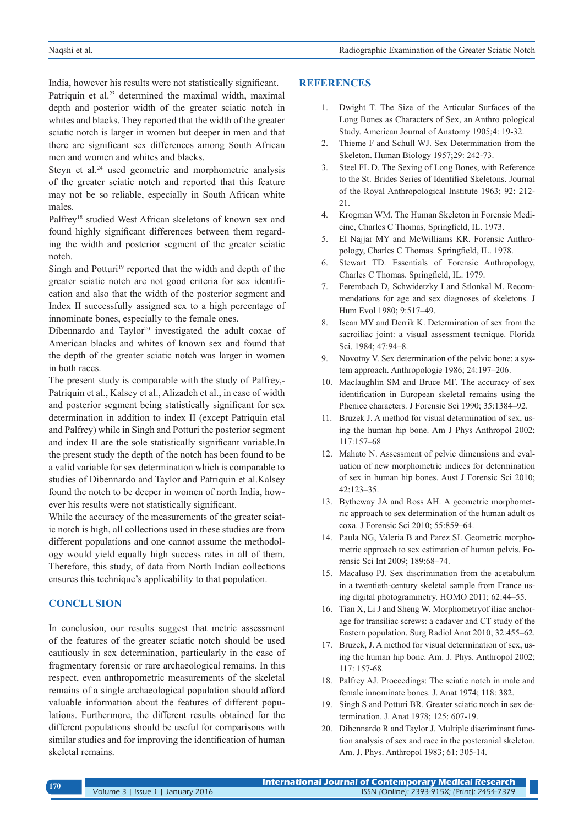India, however his results were not statistically significant. Patriquin et al.<sup>23</sup> determined the maximal width, maximal depth and posterior width of the greater sciatic notch in whites and blacks. They reported that the width of the greater sciatic notch is larger in women but deeper in men and that there are significant sex differences among South African men and women and whites and blacks.

Steyn et al.<sup>24</sup> used geometric and morphometric analysis of the greater sciatic notch and reported that this feature may not be so reliable, especially in South African white males.

Palfrey18 studied West African skeletons of known sex and found highly significant differences between them regarding the width and posterior segment of the greater sciatic notch.

Singh and Potturi<sup>19</sup> reported that the width and depth of the greater sciatic notch are not good criteria for sex identification and also that the width of the posterior segment and Index II successfully assigned sex to a high percentage of innominate bones, especially to the female ones.

Dibennardo and Taylor<sup>20</sup> investigated the adult coxae of American blacks and whites of known sex and found that the depth of the greater sciatic notch was larger in women in both races.

The present study is comparable with the study of Palfrey,- Patriquin et al., Kalsey et al., Alizadeh et al., in case of width and posterior segment being statistically significant for sex determination in addition to index II (except Patriquin etal and Palfrey) while in Singh and Potturi the posterior segment and index II are the sole statistically significant variable.In the present study the depth of the notch has been found to be a valid variable for sex determination which is comparable to studies of Dibennardo and Taylor and Patriquin et al.Kalsey found the notch to be deeper in women of north India, however his results were not statistically significant.

While the accuracy of the measurements of the greater sciatic notch is high, all collections used in these studies are from different populations and one cannot assume the methodology would yield equally high success rates in all of them. Therefore, this study, of data from North Indian collections ensures this technique's applicability to that population.

#### **CONCLUSION**

In conclusion, our results suggest that metric assessment of the features of the greater sciatic notch should be used cautiously in sex determination, particularly in the case of fragmentary forensic or rare archaeological remains. In this respect, even anthropometric measurements of the skeletal remains of a single archaeological population should afford valuable information about the features of different populations. Furthermore, the different results obtained for the different populations should be useful for comparisons with similar studies and for improving the identification of human skeletal remains.

## **REFERENCES**

- 1. Dwight T. The Size of the Articular Surfaces of the Long Bones as Characters of Sex, an Anthro pological Study. American Journal of Anatomy 1905;4: 19-32.
- 2. Thieme F and Schull WJ. Sex Determination from the Skeleton. Human Biology 1957;29: 242-73.
- 3. Steel FL D. The Sexing of Long Bones, with Reference to the St. Brides Series of Identified Skeletons. Journal of the Royal Anthropological Institute 1963; 92: 212- 21.
- 4. Krogman WM. The Human Skeleton in Forensic Medicine, Charles C Thomas, Springfield, IL. 1973.
- 5. El Najjar MY and McWilliams KR. Forensic Anthropology, Charles C Thomas. Springfield, IL. 1978.
- 6. Stewart TD. Essentials of Forensic Anthropology, Charles C Thomas. Springfield, IL. 1979.
- 7. Ferembach D, Schwidetzky I and Stlonkal M. Recommendations for age and sex diagnoses of skeletons. J Hum Evol 1980; 9:517–49.
- 8. Iscan MY and Derrik K. Determination of sex from the sacroiliac joint: a visual assessment tecnique. Florida Sci. 1984; 47:94–8.
- 9. Novotny V. Sex determination of the pelvic bone: a system approach. Anthropologie 1986; 24:197–206.
- 10. Maclaughlin SM and Bruce MF. The accuracy of sex identification in European skeletal remains using the Phenice characters. J Forensic Sci 1990; 35:1384–92.
- 11. Bruzek J. A method for visual determination of sex, using the human hip bone. Am J Phys Anthropol 2002; 117:157–68
- 12. Mahato N. Assessment of pelvic dimensions and evaluation of new morphometric indices for determination of sex in human hip bones. Aust J Forensic Sci 2010; 42:123–35.
- 13. Bytheway JA and Ross AH. A geometric morphometric approach to sex determination of the human adult os coxa. J Forensic Sci 2010; 55:859–64.
- 14. Paula NG, Valeria B and Parez SI. Geometric morphometric approach to sex estimation of human pelvis. Forensic Sci Int 2009; 189:68–74.
- 15. Macaluso PJ. Sex discrimination from the acetabulum in a twentieth-century skeletal sample from France using digital photogrammetry. HOMO 2011; 62:44–55.
- 16. Tian X, Li J and Sheng W. Morphometryof iliac anchorage for transiliac screws: a cadaver and CT study of the Eastern population. Surg Radiol Anat 2010; 32:455–62.
- 17. Bruzek, J. A method for visual determination of sex, using the human hip bone. Am. J. Phys. Anthropol 2002; 117: 157-68.
- 18. Palfrey AJ. Proceedings: The sciatic notch in male and female innominate bones. J. Anat 1974; 118: 382.
- 19. Singh S and Potturi BR. Greater sciatic notch in sex determination. J. Anat 1978; 125: 607-19.
- 20. Dibennardo R and Taylor J. Multiple discriminant function analysis of sex and race in the postcranial skeleton. Am. J. Phys. Anthropol 1983; 61: 305-14.